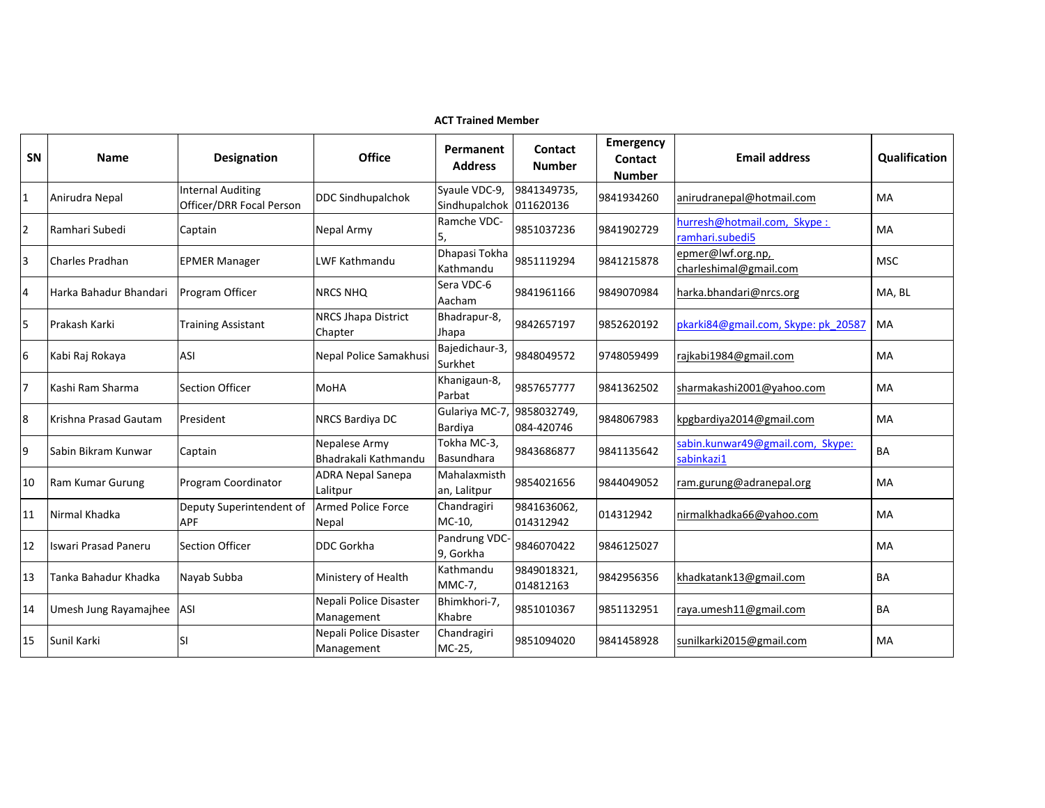|                | <b>ACT Trained Member</b>   |                                                      |                                       |                                |                           |                                                     |                                                |               |  |  |
|----------------|-----------------------------|------------------------------------------------------|---------------------------------------|--------------------------------|---------------------------|-----------------------------------------------------|------------------------------------------------|---------------|--|--|
| SN             | <b>Name</b>                 | <b>Designation</b>                                   | <b>Office</b>                         | Permanent<br><b>Address</b>    | Contact<br><b>Number</b>  | <b>Emergency</b><br><b>Contact</b><br><b>Number</b> | <b>Email address</b>                           | Qualification |  |  |
| 1              | Anirudra Nepal              | <b>Internal Auditing</b><br>Officer/DRR Focal Person | <b>DDC Sindhupalchok</b>              | Syaule VDC-9,<br>Sindhupalchok | 9841349735,<br>011620136  | 9841934260                                          | anirudranepal@hotmail.com                      | <b>MA</b>     |  |  |
| 2              | Ramhari Subedi              | Captain                                              | Nepal Army                            | Ramche VDC-                    | 9851037236                | 9841902729                                          | hurresh@hotmail.com, Skype:<br>ramhari.subedi5 | <b>MA</b>     |  |  |
| 3              | <b>Charles Pradhan</b>      | <b>EPMER Manager</b>                                 | LWF Kathmandu                         | Dhapasi Tokha<br>Kathmandu     | 9851119294                | 9841215878                                          | epmer@lwf.org.np,<br>charleshimal@gmail.com    | <b>MSC</b>    |  |  |
| $\overline{4}$ | Harka Bahadur Bhandari      | Program Officer                                      | <b>NRCS NHQ</b>                       | Sera VDC-6<br>Aacham           | 9841961166                | 9849070984                                          | harka.bhandari@nrcs.org                        | MA, BL        |  |  |
| 5              | Prakash Karki               | <b>Training Assistant</b>                            | <b>NRCS Jhapa District</b><br>Chapter | Bhadrapur-8,<br>Jhapa          | 9842657197                | 9852620192                                          | pkarki84@gmail.com, Skype: pk 20587            | MA            |  |  |
| 6              | Kabi Raj Rokaya             | ASI                                                  | Nepal Police Samakhusi                | Bajedichaur-3,<br>Surkhet      | 9848049572                | 9748059499                                          | rajkabi1984@gmail.com                          | MA            |  |  |
| 7              | Kashi Ram Sharma            | <b>Section Officer</b>                               | MoHA                                  | Khanigaun-8,<br>Parbat         | 9857657777                | 9841362502                                          | sharmakashi2001@yahoo.com                      | MA            |  |  |
| 8              | Krishna Prasad Gautam       | President                                            | NRCS Bardiya DC                       | Gulariya MC-7<br>Bardiya       | 9858032749,<br>084-420746 | 9848067983                                          | kpgbardiya 2014@gmail.com                      | MA            |  |  |
| 9              | Sabin Bikram Kunwar         | Captain                                              | Nepalese Army<br>Bhadrakali Kathmandu | Tokha MC-3,<br>Basundhara      | 9843686877                | 9841135642                                          | sabin.kunwar49@gmail.com, Skype:<br>sabinkazi1 | BA            |  |  |
| 10             | Ram Kumar Gurung            | Program Coordinator                                  | <b>ADRA Nepal Sanepa</b><br>Lalitpur  | Mahalaxmisth<br>an, Lalitpur   | 9854021656                | 9844049052                                          | ram.gurung@adranepal.org                       | MA            |  |  |
| 11             | Nirmal Khadka               | Deputy Superintendent of<br><b>APF</b>               | <b>Armed Police Force</b><br>Nepal    | Chandragiri<br>$MC-10$ ,       | 9841636062,<br>014312942  | 014312942                                           | nirmalkhadka66@yahoo.com                       | MA            |  |  |
| 12             | <b>Iswari Prasad Paneru</b> | Section Officer                                      | <b>DDC Gorkha</b>                     | Pandrung VDC<br>9, Gorkha      | 9846070422                | 9846125027                                          |                                                | MA            |  |  |
| 13             | Tanka Bahadur Khadka        | Nayab Subba                                          | Ministery of Health                   | Kathmandu<br><b>MMC-7,</b>     | 9849018321,<br>014812163  | 9842956356                                          | khadkatank13@gmail.com                         | BA            |  |  |
| 14             | Umesh Jung Rayamajhee       | <b>ASI</b>                                           | Nepali Police Disaster<br>Management  | Bhimkhori-7,<br>Khabre         | 9851010367                | 9851132951                                          | raya.umesh11@gmail.com                         | BA            |  |  |
| 15             | Sunil Karki                 | SI                                                   | Nepali Police Disaster<br>Management  | Chandragiri<br>MC-25,          | 9851094020                | 9841458928                                          | sunilkarki2015@gmail.com                       | <b>MA</b>     |  |  |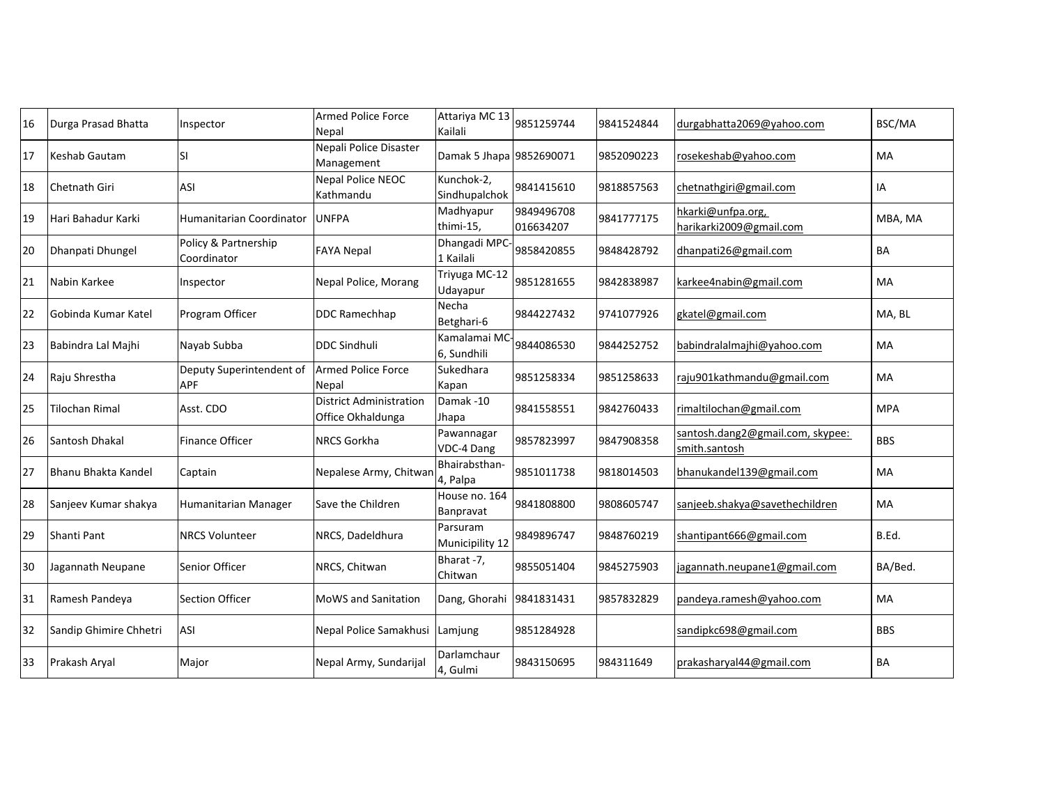| 16 | Durga Prasad Bhatta    | Inspector                           | <b>Armed Police Force</b><br><b>Nepal</b>    | Attariya MC 13<br>Kailali   | 9851259744              | 9841524844 | durgabhatta2069@yahoo.com                         | BSC/MA     |
|----|------------------------|-------------------------------------|----------------------------------------------|-----------------------------|-------------------------|------------|---------------------------------------------------|------------|
| 17 | Keshab Gautam          | <b>SI</b>                           | Nepali Police Disaster<br>Management         | Damak 5 Jhapa 9852690071    |                         | 9852090223 | rosekeshab@yahoo.com                              | MA         |
| 18 | Chetnath Giri          | ASI                                 | Nepal Police NEOC<br>Kathmandu               | Kunchok-2,<br>Sindhupalchok | 9841415610              | 9818857563 | chetnathgiri@gmail.com                            | IA         |
| 19 | Hari Bahadur Karki     | Humanitarian Coordinator            | <b>UNFPA</b>                                 | Madhyapur<br>thimi-15,      | 9849496708<br>016634207 | 9841777175 | hkarki@unfpa.org,<br>harikarki2009@gmail.com      | MBA, MA    |
| 20 | Dhanpati Dhungel       | Policy & Partnership<br>Coordinator | <b>FAYA Nepal</b>                            | Dhangadi MPC<br>1 Kailali   | 9858420855              | 9848428792 | dhanpati26@gmail.com                              | BA         |
| 21 | Nabin Karkee           | Inspector                           | Nepal Police, Morang                         | Triyuga MC-12<br>Udayapur   | 9851281655              | 9842838987 | karkee4nabin@gmail.com                            | MA         |
| 22 | Gobinda Kumar Katel    | Program Officer                     | <b>DDC Ramechhap</b>                         | Necha<br>Betghari-6         | 9844227432              | 9741077926 | gkatel@gmail.com                                  | MA, BL     |
| 23 | Babindra Lal Majhi     | Nayab Subba                         | <b>IDDC Sindhuli</b>                         | Kamalamai MC<br>6, Sundhili | 9844086530              | 9844252752 | babindralalmajhi@yahoo.com                        | MA         |
| 24 | Raju Shrestha          | Deputy Superintendent of<br>APF     | <b>Armed Police Force</b><br>Nepal           | Sukedhara<br>Kapan          | 9851258334              | 9851258633 | raju901kathmandu@gmail.com                        | MA         |
| 25 | Tilochan Rimal         | Asst. CDO                           | District Administration<br>Office Okhaldunga | Damak-10<br>Jhapa           | 9841558551              | 9842760433 | rimaltilochan@gmail.com                           | <b>MPA</b> |
| 26 | Santosh Dhakal         | <b>Finance Officer</b>              | <b>NRCS Gorkha</b>                           | Pawannagar<br>VDC-4 Dang    | 9857823997              | 9847908358 | santosh.dang2@gmail.com, skypee:<br>smith.santosh | <b>BBS</b> |
| 27 | Bhanu Bhakta Kandel    | Captain                             | Nepalese Army, Chitwar                       | Bhairabsthan-<br>4, Palpa   | 9851011738              | 9818014503 | bhanukandel139@gmail.com                          | MA         |
| 28 | Sanjeev Kumar shakya   | Humanitarian Manager                | Save the Children                            | House no. 164<br>Banpravat  | 9841808800              | 9808605747 | sanjeeb.shakya@savethechildren                    | MA         |
| 29 | Shanti Pant            | <b>NRCS Volunteer</b>               | NRCS, Dadeldhura                             | Parsuram<br>Municipility 12 | 9849896747              | 9848760219 | shantipant666@gmail.com                           | B.Ed.      |
| 30 | Jagannath Neupane      | Senior Officer                      | NRCS, Chitwan                                | Bharat -7,<br>Chitwan       | 9855051404              | 9845275903 | jagannath.neupane1@gmail.com                      | BA/Bed.    |
| 31 | Ramesh Pandeya         | <b>Section Officer</b>              | MoWS and Sanitation                          | Dang, Ghorahi               | 9841831431              | 9857832829 | pandeya.ramesh@yahoo.com                          | MA         |
| 32 | Sandip Ghimire Chhetri | <b>ASI</b>                          | Nepal Police Samakhusi                       | Lamjung                     | 9851284928              |            | sandipkc698@gmail.com                             | <b>BBS</b> |
| 33 | Prakash Aryal          | Major                               | Nepal Army, Sundarijal                       | Darlamchaur<br>4, Gulmi     | 9843150695              | 984311649  | prakasharyal44@gmail.com                          | BA         |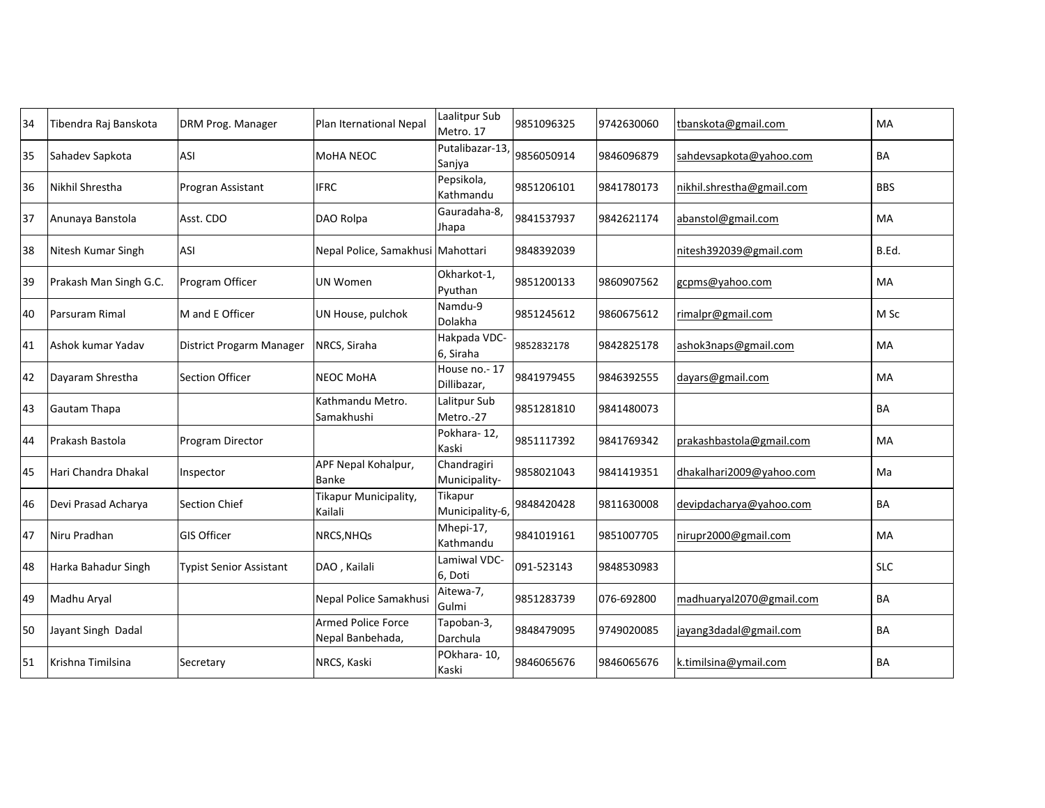| 34 | Tibendra Raj Banskota  | DRM Prog. Manager              | Plan Iternational Nepal                       | Laalitpur Sub<br>Metro. 17   | 9851096325 | 9742630060 | tbanskota@gmail.com       | MA         |
|----|------------------------|--------------------------------|-----------------------------------------------|------------------------------|------------|------------|---------------------------|------------|
| 35 | Sahadev Sapkota        | ASI                            | <b>MoHA NEOC</b>                              | Putalibazar-13,<br>Sanjya    | 9856050914 | 9846096879 | sahdevsapkota@yahoo.com   | BA         |
| 36 | Nikhil Shrestha        | Progran Assistant              | <b>IFRC</b>                                   | Pepsikola,<br>Kathmandu      | 9851206101 | 9841780173 | nikhil.shrestha@gmail.com | <b>BBS</b> |
| 37 | Anunaya Banstola       | Asst. CDO                      | DAO Rolpa                                     | Gauradaha-8.<br>Jhapa        | 9841537937 | 9842621174 | abanstol@gmail.com        | MA         |
| 38 | Nitesh Kumar Singh     | <b>ASI</b>                     | Nepal Police, Samakhusi Mahottari             |                              | 9848392039 |            | nitesh392039@gmail.com    | B.Ed.      |
| 39 | Prakash Man Singh G.C. | Program Officer                | <b>UN Women</b>                               | Okharkot-1,<br>Pyuthan       | 9851200133 | 9860907562 | gcpms@yahoo.com           | MA         |
| 40 | Parsuram Rimal         | M and E Officer                | UN House, pulchok                             | Namdu-9<br>Dolakha           | 9851245612 | 9860675612 | rimalpr@gmail.com         | M Sc       |
| 41 | Ashok kumar Yadav      | District Progarm Manager       | NRCS, Siraha                                  | Hakpada VDC-<br>6, Siraha    | 9852832178 | 9842825178 | ashok3naps@gmail.com      | MA         |
| 42 | Dayaram Shrestha       | <b>Section Officer</b>         | <b>NEOC MoHA</b>                              | House no.-17<br>Dillibazar,  | 9841979455 | 9846392555 | dayars@gmail.com          | MA.        |
| 43 | Gautam Thapa           |                                | Kathmandu Metro.<br>Samakhushi                | Lalitpur Sub<br>Metro.-27    | 9851281810 | 9841480073 |                           | BA         |
| 44 | Prakash Bastola        | Program Director               |                                               | Pokhara-12,<br>Kaski         | 9851117392 | 9841769342 | prakashbastola@gmail.com  | MA         |
| 45 | Hari Chandra Dhakal    | Inspector                      | APF Nepal Kohalpur,<br><b>Banke</b>           | Chandragiri<br>Municipality- | 9858021043 | 9841419351 | dhakalhari2009@yahoo.com  | Ma         |
| 46 | Devi Prasad Acharya    | <b>Section Chief</b>           | Tikapur Municipality,<br>Kailali              | Tikapur<br>Municipality-6,   | 9848420428 | 9811630008 | devipdacharya@yahoo.com   | <b>BA</b>  |
| 47 | Niru Pradhan           | <b>GIS Officer</b>             | NRCS, NHQ <sub>S</sub>                        | Mhepi-17,<br>Kathmandu       | 9841019161 | 9851007705 | nirupr2000@gmail.com      | MA         |
| 48 | Harka Bahadur Singh    | <b>Typist Senior Assistant</b> | DAO, Kailali                                  | Lamiwal VDC-<br>6, Doti      | 091-523143 | 9848530983 |                           | <b>SLC</b> |
| 49 | Madhu Aryal            |                                | Nepal Police Samakhusi                        | Aitewa-7,<br>Gulmi           | 9851283739 | 076-692800 | madhuaryal2070@gmail.com  | <b>BA</b>  |
| 50 | Jayant Singh Dadal     |                                | <b>Armed Police Force</b><br>Nepal Banbehada, | Tapoban-3,<br>Darchula       | 9848479095 | 9749020085 | jayang3dadal@gmail.com    | <b>BA</b>  |
| 51 | Krishna Timilsina      | Secretary                      | NRCS, Kaski                                   | POkhara-10,<br>Kaski         | 9846065676 | 9846065676 | k.timilsina@ymail.com     | <b>BA</b>  |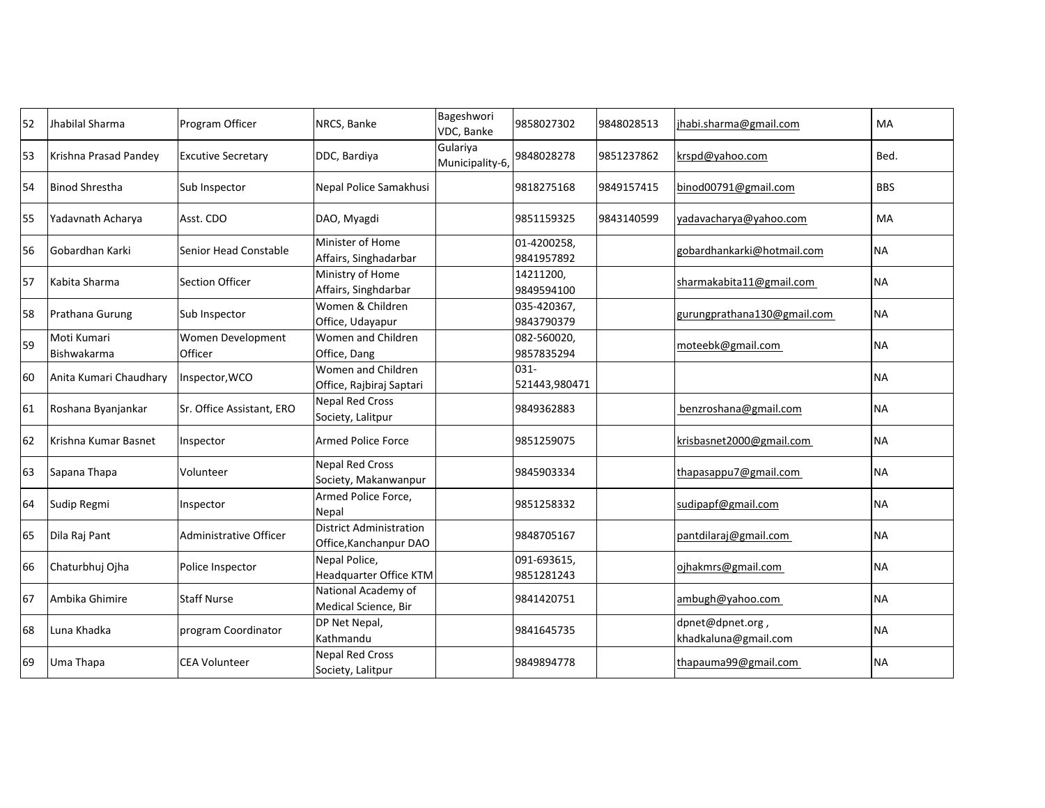| 52 | <b>Jhabilal Sharma</b>     | Program Officer              | NRCS, Banke                                              | Bageshwori<br>VDC, Banke    | 9858027302                | 9848028513 | jhabi.sharma@gmail.com                  | <b>MA</b>  |
|----|----------------------------|------------------------------|----------------------------------------------------------|-----------------------------|---------------------------|------------|-----------------------------------------|------------|
| 53 | Krishna Prasad Pandey      | <b>Excutive Secretary</b>    | DDC, Bardiya                                             | Gulariya<br>Municipality-6, | 9848028278                | 9851237862 | krspd@yahoo.com                         | Bed.       |
| 54 | Binod Shrestha             | Sub Inspector                | Nepal Police Samakhusi                                   |                             | 9818275168                | 9849157415 | binod00791@gmail.com                    | <b>BBS</b> |
| 55 | Yadavnath Acharya          | Asst. CDO                    | DAO, Myagdi                                              |                             | 9851159325                | 9843140599 | vadavacharya@yahoo.com                  | <b>MA</b>  |
| 56 | Gobardhan Karki            | Senior Head Constable        | Minister of Home<br>Affairs, Singhadarbar                |                             | 01-4200258,<br>9841957892 |            | gobardhankarki@hotmail.com              | <b>NA</b>  |
| 57 | Kabita Sharma              | <b>Section Officer</b>       | Ministry of Home<br>Affairs, Singhdarbar                 |                             | 14211200,<br>9849594100   |            | sharmakabita11@gmail.com                | <b>NA</b>  |
| 58 | Prathana Gurung            | Sub Inspector                | Women & Children<br>Office, Udayapur                     |                             | 035-420367,<br>9843790379 |            | gurungprathana130@gmail.com             | <b>NA</b>  |
| 59 | Moti Kumari<br>Bishwakarma | Women Development<br>Officer | Women and Children<br>Office, Dang                       |                             | 082-560020,<br>9857835294 |            | moteebk@gmail.com                       | <b>NA</b>  |
| 60 | Anita Kumari Chaudhary     | Inspector, WCO               | Women and Children<br>Office, Rajbiraj Saptari           |                             | $031 -$<br>521443,980471  |            |                                         | <b>NA</b>  |
| 61 | Roshana Byanjankar         | Sr. Office Assistant, ERO    | <b>Nepal Red Cross</b><br>Society, Lalitpur              |                             | 9849362883                |            | benzroshana@gmail.com                   | <b>NA</b>  |
| 62 | Krishna Kumar Basnet       | Inspector                    | <b>Armed Police Force</b>                                |                             | 9851259075                |            | krisbasnet2000@gmail.com                | <b>NA</b>  |
| 63 | Sapana Thapa               | Volunteer                    | <b>Nepal Red Cross</b><br>Society, Makanwanpur           |                             | 9845903334                |            | thapasappu7@gmail.com                   | <b>NA</b>  |
| 64 | Sudip Regmi                | Inspector                    | Armed Police Force,<br>Nepal                             |                             | 9851258332                |            | sudipapf@gmail.com                      | <b>NA</b>  |
| 65 | Dila Raj Pant              | Administrative Officer       | <b>District Administration</b><br>Office, Kanchanpur DAO |                             | 9848705167                |            | pantdilaraj@gmail.com                   | <b>NA</b>  |
| 66 | Chaturbhuj Ojha            | Police Inspector             | Nepal Police,<br><b>Headquarter Office KTM</b>           |                             | 091-693615,<br>9851281243 |            | ojhakmrs@gmail.com                      | <b>NA</b>  |
| 67 | Ambika Ghimire             | <b>Staff Nurse</b>           | National Academy of<br>Medical Science, Bir              |                             | 9841420751                |            | ambugh@yahoo.com                        | <b>NA</b>  |
| 68 | Luna Khadka                | program Coordinator          | DP Net Nepal,<br>Kathmandu                               |                             | 9841645735                |            | dpnet@dpnet.org<br>khadkaluna@gmail.com | <b>NA</b>  |
| 69 | Uma Thapa                  | <b>CEA Volunteer</b>         | <b>Nepal Red Cross</b><br>Society, Lalitpur              |                             | 9849894778                |            | thapauma99@gmail.com                    | <b>NA</b>  |